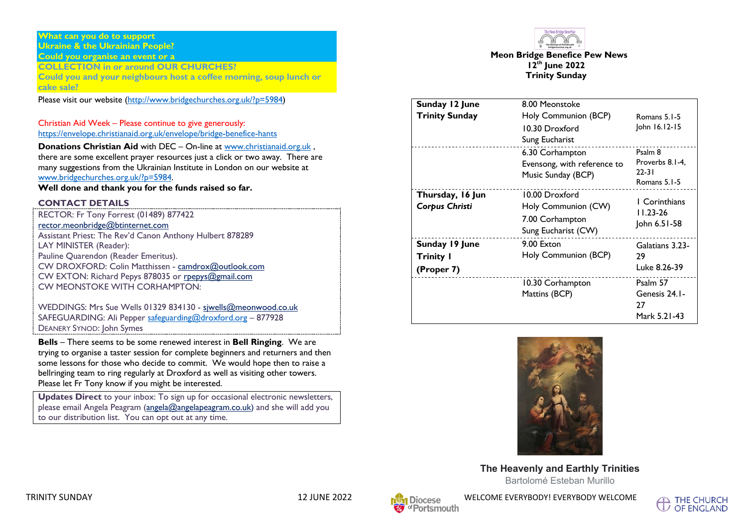#### **What can you do to support Ukraine & the Ukrainian People? Could you organise an event or a**

**COLLECTION in or around OUR CHURCHES?**

**Could you and your neighbours host a coffee morning, soup lunch or cake sale?** 

Please visit our website (http://www.bridgechurches.org.uk/?p=5984)

Christian Aid Week – Please continue to give generously: https://envelope.christianaid.org.uk/envelope/bridge-benefice-hants

**Donations Christian Aid** with DEC – On-line at www.christianaid.org.uk , there are some excellent prayer resources just a click or two away. There are many suggestions from the Ukrainian Institute in London on our website at www.bridgechurches.org.uk/?p=5984.

**Well done and thank you for the funds raised so far.**

#### **CONTACT DETAILS**

RECTOR: Fr Tony Forrest (01489) 877422 rector.meonbridge@btinternet.com Assistant Priest: The Rev'd Canon Anthony Hulbert 878289 LAY MINISTER (Reader): Pauline Quarendon (Reader Emeritus). CW DROXFORD: Colin Matthissen - camdrox@outlook.com CW EXTON: Richard Pepys 878035 or rpepys@gmail.com CW MEONSTOKE WITH CORHAMPTON:

WEDDINGS: Mrs Sue Wells 01329 834130 - sjwells@meonwood.co.uk SAFEGUARDING: Ali Pepper safeguarding@droxford.org – 877928 DEANERY SYNOD: John Symes

**Bells** – There seems to be some renewed interest in **Bell Ringing**. We are trying to organise a taster session for complete beginners and returners and then some lessons for those who decide to commit. We would hope then to raise a bellringing team to ring regularly at Droxford as well as visiting other towers. Please let Fr Tony know if you might be interested.

**Updates Direct** to your inbox: To sign up for occasional electronic newsletters, please email Angela Peagram (angela@angelapeagram.co.uk) and she will add you to our distribution list. You can opt out at any time.



**Meon Bridge Benefice Pew News 12th June 2022 Trinity Sunday**

| Sunday 12 June<br><b>Trinity Sunday</b>          | 8.00 Meonstoke                                                                  |                                                         |
|--------------------------------------------------|---------------------------------------------------------------------------------|---------------------------------------------------------|
|                                                  | Holy Communion (BCP)<br>10.30 Droxford<br>Sung Eucharist                        | Romans 5.1-5<br>John 16.12-15                           |
|                                                  | 6.30 Corhampton<br>Evensong, with reference to<br>Music Sunday (BCP)            | Psalm 8<br>Proverbs 8.1-4.<br>$22 - 31$<br>Romans 5.1-5 |
| Thursday, 16 Jun<br>Corpus Christi               | 10.00 Droxford<br>Holy Communion (CW)<br>7.00 Corhampton<br>Sung Eucharist (CW) | <b>I</b> Corinthians<br>$11.23 - 26$<br>John 6.51-58    |
| Sunday 19 June<br><b>Trinity I</b><br>(Proper 7) | 9.00 Exton<br>Holy Communion (BCP)                                              | Galatians 3.23-<br>29<br>Luke 8.26-39                   |
|                                                  | 10.30 Corhampton<br>Mattins (BCP)                                               | Psalm 57<br>Genesis 24.1-<br>27<br>Mark 5.21-43         |



**The Heavenly and Earthly Trinities** Bartolomé Esteban Murillo



WELCOME EVERYBODY! EVERYBODY WELCOME